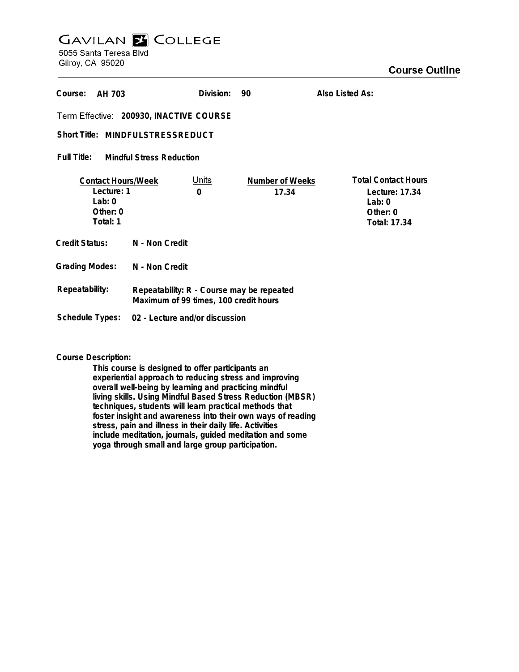# **GAVILAN Z COLLEGE** 5055 Santa Teresa Blvd

Gilroy, CA 95020

| Course:<br>AH 703                                                            |                                                                                    | Division:         | 90                       | Also Listed As:                                                                      |
|------------------------------------------------------------------------------|------------------------------------------------------------------------------------|-------------------|--------------------------|--------------------------------------------------------------------------------------|
| Term Effective: 200930, INACTIVE COURSE                                      |                                                                                    |                   |                          |                                                                                      |
| Short Title: MINDFULSTRESSREDUCT                                             |                                                                                    |                   |                          |                                                                                      |
| Full Title:<br><b>Mindful Stress Reduction</b>                               |                                                                                    |                   |                          |                                                                                      |
| <b>Contact Hours/Week</b><br>Lecture: 1<br>$l$ ab: 0<br>Other: 0<br>Total: 1 |                                                                                    | <u>Units</u><br>0 | Number of Weeks<br>17.34 | <b>Total Contact Hours</b><br>Lecture: 17.34<br>Lab: $0$<br>Other: 0<br>Total: 17.34 |
| <b>Credit Status:</b>                                                        | N - Non Credit                                                                     |                   |                          |                                                                                      |
| <b>Grading Modes:</b>                                                        | N - Non Credit                                                                     |                   |                          |                                                                                      |
| Repeatability:                                                               | Repeatability: R - Course may be repeated<br>Maximum of 99 times, 100 credit hours |                   |                          |                                                                                      |
| Schedule Types:                                                              | 02 - Lecture and/or discussion                                                     |                   |                          |                                                                                      |

**Course Description:**

**This course is designed to offer participants an experiential approach to reducing stress and improving overall well-being by learning and practicing mindful living skills. Using Mindful Based Stress Reduction (MBSR) techniques, students will learn practical methods that foster insight and awareness into their own ways of reading stress, pain and illness in their daily life. Activities include meditation, journals, guided meditation and some yoga through small and large group participation.**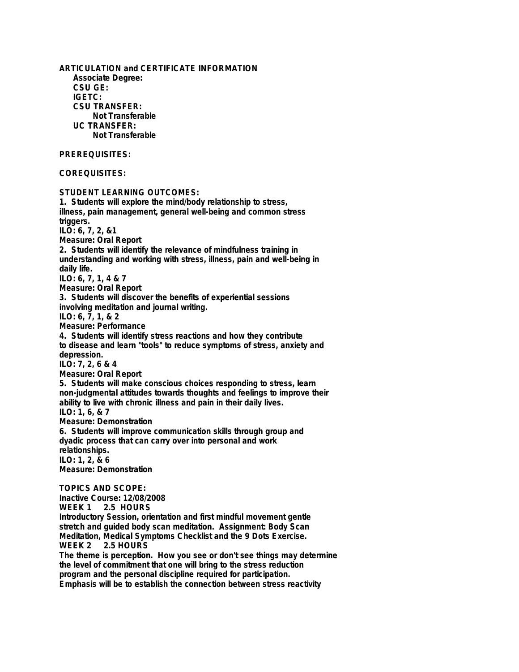**ARTICULATION and CERTIFICATE INFORMATION Associate Degree: CSU GE: IGETC: CSU TRANSFER: Not Transferable UC TRANSFER: Not Transferable PREREQUISITES: COREQUISITES: STUDENT LEARNING OUTCOMES: 1. Students will explore the mind/body relationship to stress, illness, pain management, general well-being and common stress triggers. ILO: 6, 7, 2, &1 Measure: Oral Report 2. Students will identify the relevance of mindfulness training in understanding and working with stress, illness, pain and well-being in daily life. ILO: 6, 7, 1, 4 & 7 Measure: Oral Report 3. Students will discover the benefits of experiential sessions involving meditation and journal writing. ILO: 6, 7, 1, & 2 Measure: Performance 4. Students will identify stress reactions and how they contribute to disease and learn "tools" to reduce symptoms of stress, anxiety and depression. ILO: 7, 2, 6 & 4 Measure: Oral Report 5. Students will make conscious choices responding to stress, learn non-judgmental attitudes towards thoughts and feelings to improve their ability to live with chronic illness and pain in their daily lives. ILO: 1, 6, & 7 Measure: Demonstration 6. Students will improve communication skills through group and dyadic process that can carry over into personal and work relationships. ILO: 1, 2, & 6 Measure: Demonstration TOPICS AND SCOPE: Inactive Course: 12/08/2008** 2.5 HOURS **Introductory Session, orientation and first mindful movement gentle stretch and guided body scan meditation. Assignment: Body Scan Meditation, Medical Symptoms Checklist and the 9 Dots Exercise.** 2.5 HOURS **The theme is perception. How you see or don't see things may determine the level of commitment that one will bring to the stress reduction program and the personal discipline required for participation.**

**Emphasis will be to establish the connection between stress reactivity**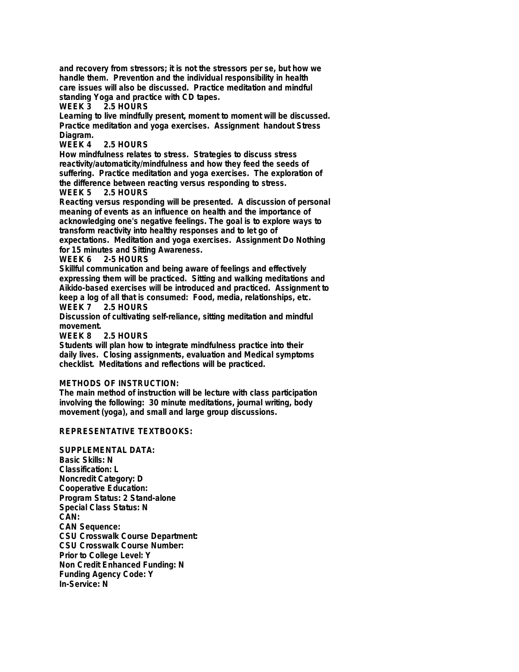**and recovery from stressors; it is not the stressors per se, but how we handle them. Prevention and the individual responsibility in health care issues will also be discussed. Practice meditation and mindful standing Yoga and practice with CD tapes.**

**WEEK 3 2.5 HOURS**

**Learning to live mindfully present, moment to moment will be discussed. Practice meditation and yoga exercises. Assignment handout Stress Diagram.**

### 2.5 HOURS

**How mindfulness relates to stress. Strategies to discuss stress reactivity/automaticity/mindfulness and how they feed the seeds of suffering. Practice meditation and yoga exercises. The exploration of the difference between reacting versus responding to stress.**

### **WEEK 5 2.5 HOURS**

**Reacting versus responding will be presented. A discussion of personal meaning of events as an influence on health and the importance of acknowledging one's negative feelings. The goal is to explore ways to transform reactivity into healthy responses and to let go of**

**expectations. Meditation and yoga exercises. Assignment Do Nothing for 15 minutes and Sitting Awareness.**

# **2-5 HOURS**

**Skillful communication and being aware of feelings and effectively expressing them will be practiced. Sitting and walking meditations and Aikido-based exercises will be introduced and practiced. Assignment to keep a log of all that is consumed: Food, media, relationships, etc. 2.5 HOURS** 

**Discussion of cultivating self-reliance, sitting meditation and mindful movement.**

**2.5 HOURS** 

**Students will plan how to integrate mindfulness practice into their daily lives. Closing assignments, evaluation and Medical symptoms checklist. Meditations and reflections will be practiced.**

# **METHODS OF INSTRUCTION:**

**The main method of instruction will be lecture with class participation involving the following: 30 minute meditations, journal writing, body movement (yoga), and small and large group discussions.**

# **REPRESENTATIVE TEXTBOOKS:**

**SUPPLEMENTAL DATA: Basic Skills: N Classification: L Noncredit Category: D Cooperative Education: Program Status: 2 Stand-alone Special Class Status: N CAN: CAN Sequence: CSU Crosswalk Course Department: CSU Crosswalk Course Number: Prior to College Level: Y Non Credit Enhanced Funding: N Funding Agency Code: Y In-Service: N**